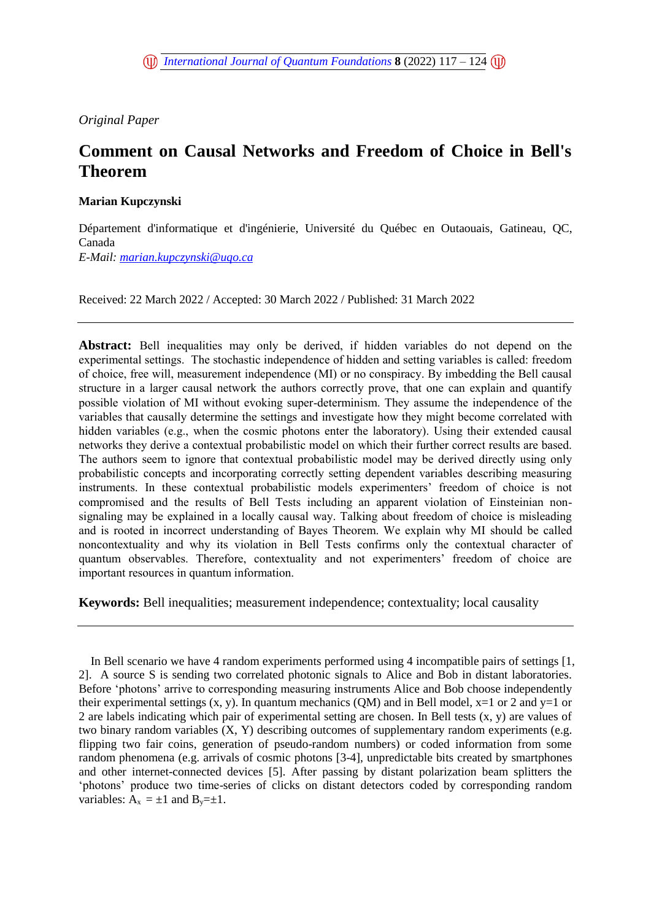*Original Paper* 

# **Comment on Causal Networks and Freedom of Choice in Bell's Theorem**

# **Marian Kupczynski**

Département d'informatique et d'ingénierie, Université du Québec en Outaouais, Gatineau, QC, Canada

*E-Mail: [marian.kupczynski@uqo.ca](mailto:marian.kupczynski@uqo.ca)*

Received: 22 March 2022 / Accepted: 30 March 2022 / Published: 31 March 2022

**Abstract:** Bell inequalities may only be derived, if hidden variables do not depend on the experimental settings. The stochastic independence of hidden and setting variables is called: freedom of choice, free will, measurement independence (MI) or no conspiracy. By imbedding the Bell causal structure in a larger causal network the authors correctly prove, that one can explain and quantify possible violation of MI without evoking super-determinism. They assume the independence of the variables that causally determine the settings and investigate how they might become correlated with hidden variables (e.g., when the cosmic photons enter the laboratory). Using their extended causal networks they derive a contextual probabilistic model on which their further correct results are based. The authors seem to ignore that contextual probabilistic model may be derived directly using only probabilistic concepts and incorporating correctly setting dependent variables describing measuring instruments. In these contextual probabilistic models experimenters' freedom of choice is not compromised and the results of Bell Tests including an apparent violation of Einsteinian nonsignaling may be explained in a locally causal way. Talking about freedom of choice is misleading and is rooted in incorrect understanding of Bayes Theorem. We explain why MI should be called noncontextuality and why its violation in Bell Tests confirms only the contextual character of quantum observables. Therefore, contextuality and not experimenters' freedom of choice are important resources in quantum information.

**Keywords:** Bell inequalities; measurement independence; contextuality; local causality

In Bell scenario we have 4 random experiments performed using 4 incompatible pairs of settings [1, 2]. A source S is sending two correlated photonic signals to Alice and Bob in distant laboratories. Before 'photons' arrive to corresponding measuring instruments Alice and Bob choose independently their experimental settings  $(x, y)$ . In quantum mechanics (QM) and in Bell model,  $x=1$  or 2 and  $y=1$  or 2 are labels indicating which pair of experimental setting are chosen. In Bell tests (x, y) are values of two binary random variables (X, Y) describing outcomes of supplementary random experiments (e.g. flipping two fair coins, generation of pseudo-random numbers) or coded information from some random phenomena (e.g. arrivals of cosmic photons [3-4], unpredictable bits created by smartphones and other internet-connected devices [5]. After passing by distant polarization beam splitters the 'photons' produce two time-series of clicks on distant detectors coded by corresponding random variables:  $\overline{A}_x = \pm 1$  and  $B_y = \pm 1$ .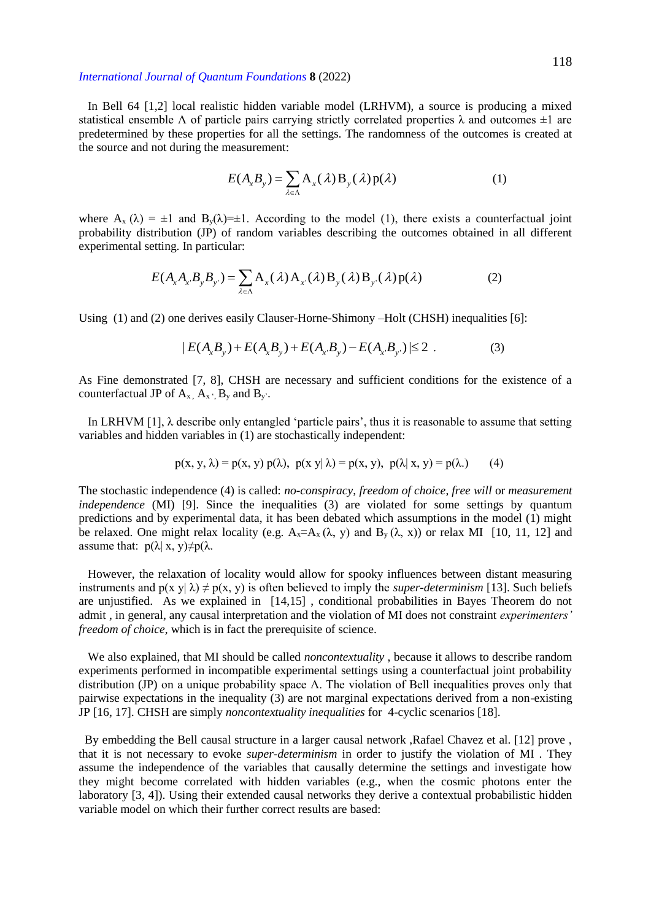In Bell 64 [1,2] local realistic hidden variable model (LRHVM), a source is producing a mixed statistical ensemble  $\Lambda$  of particle pairs carrying strictly correlated properties  $\lambda$  and outcomes  $\pm 1$  are predetermined by these properties for all the settings. The randomness of the outcomes is created at the source and not during the measurement:

$$
E(A_x B_y) = \sum_{\lambda \in \Lambda} A_x(\lambda) B_y(\lambda) p(\lambda)
$$
 (1)

where  $A_x(\lambda) = \pm 1$  and  $B_y(\lambda) = \pm 1$ . According to the model (1), there exists a counterfactual joint probability distribution (JP) of random variables describing the outcomes obtained in all different experimental setting. In particular:

$$
E(A_x A_x B_y B_{y'}) = \sum_{\lambda \in \Lambda} A_x(\lambda) A_{x'}(\lambda) B_y(\lambda) B_{y'}(\lambda) p(\lambda)
$$
 (2)

Using (1) and (2) one derives easily Clauser-Horne-Shimony –Holt (CHSH) inequalities [6]:<br>  $|E(A_xB_y) + E(A_xB_y) + E(A_xB_y) - E(A_xB_y)| \le 2$ . (3)

$$
|E(A_xB_y) + E(A_xB_y) + E(A_xB_y) - E(A_xB_y)| \le 2.
$$
 (3)

As Fine demonstrated [7, 8], CHSH are necessary and sufficient conditions for the existence of a counterfactual JP of  $A_{x}$ ,  $A_{x}$ ,  $B_{y}$  and  $B_{y}$ .

In LRHVM  $[1]$ ,  $\lambda$  describe only entangled 'particle pairs', thus it is reasonable to assume that setting variables and hidden variables in (1) are stochastically independent:

$$
p(x, y, \lambda) = p(x, y) p(\lambda), \ p(x|y|\lambda) = p(x, y), \ p(\lambda|x, y) = p(\lambda).
$$
 (4)

The stochastic independence (4) is called: *no-conspiracy*, *freedom of choice*, *free will* or *measurement independence* (MI) [9]. Since the inequalities (3) are violated for some settings by quantum predictions and by experimental data, it has been debated which assumptions in the model (1) might be relaxed. One might relax locality (e.g.  $A_x = A_x (\lambda, y)$  and  $B_y (\lambda, x)$ ) or relax MI [10, 11, 12] and assume that:  $p(\lambda | x, y) \neq p(\lambda)$ .

 However, the relaxation of locality would allow for spooky influences between distant measuring instruments and  $p(x y | \lambda) \neq p(x, y)$  is often believed to imply the *super-determinism* [13]. Such beliefs are unjustified. As we explained in [14,15] , conditional probabilities in Bayes Theorem do not admit , in general, any causal interpretation and the violation of MI does not constraint *experimenters' freedom of choice*, which is in fact the prerequisite of science.

 We also explained, that MI should be called *noncontextuality* , because it allows to describe random experiments performed in incompatible experimental settings using a counterfactual joint probability distribution (JP) on a unique probability space Λ. The violation of Bell inequalities proves only that pairwise expectations in the inequality (3) are not marginal expectations derived from a non-existing JP [16, 17]. CHSH are simply *noncontextuality inequalities* for 4-cyclic scenarios [18].

 By embedding the Bell causal structure in a larger causal network ,Rafael Chavez et al. [12] prove , that it is not necessary to evoke *super-determinism* in order to justify the violation of MI . They assume the independence of the variables that causally determine the settings and investigate how they might become correlated with hidden variables (e.g., when the cosmic photons enter the laboratory [3, 4]). Using their extended causal networks they derive a contextual probabilistic hidden variable model on which their further correct results are based: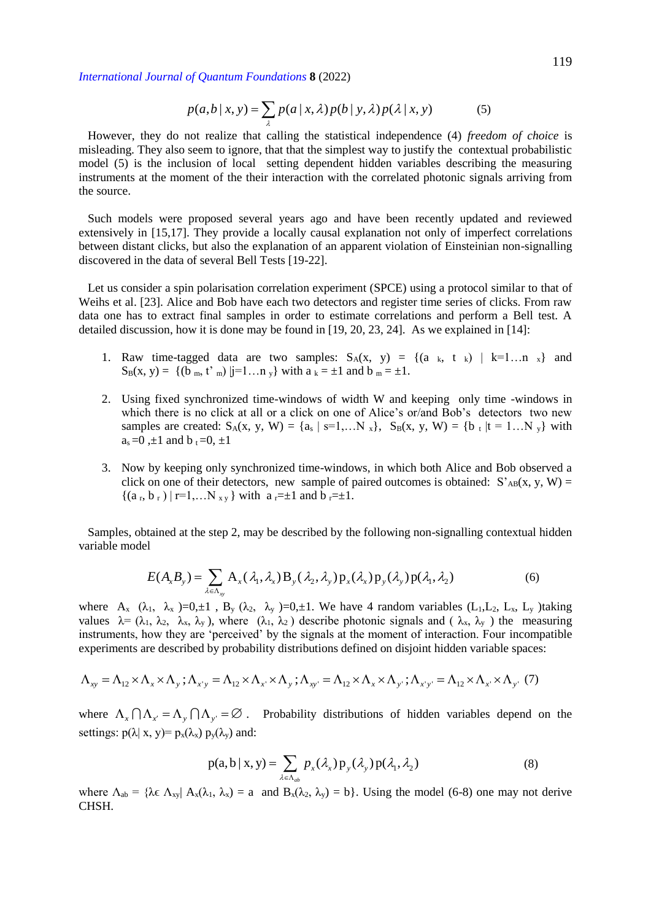$$
p(a,b|x,y) = \sum_{\lambda} p(a|x,\lambda)p(b|y,\lambda)p(\lambda|x,y) \tag{5}
$$

 However, they do not realize that calling the statistical independence (4) *freedom of choice* is misleading. They also seem to ignore, that that the simplest way to justify the contextual probabilistic model (5) is the inclusion of local setting dependent hidden variables describing the measuring instruments at the moment of the their interaction with the correlated photonic signals arriving from the source.

 Such models were proposed several years ago and have been recently updated and reviewed extensively in [15,17]. They provide a locally causal explanation not only of imperfect correlations between distant clicks, but also the explanation of an apparent violation of Einsteinian non-signalling discovered in the data of several Bell Tests [19-22].

 Let us consider a spin polarisation correlation experiment (SPCE) using a protocol similar to that of Weihs et al. [23]. Alice and Bob have each two detectors and register time series of clicks. From raw data one has to extract final samples in order to estimate correlations and perform a Bell test. A detailed discussion, how it is done may be found in [19, 20, 23, 24]. As we explained in [14]:

- 1. Raw time-tagged data are two samples:  $S_A(x, y) = \{(a_k, t_k) | k=1...n_k\}$  and  $S_B(x, y) = \{(b_m, t^m) |i=1...n_v\}$  with  $a_k = \pm 1$  and  $b_m = \pm 1$ .
- 2. Using fixed synchronized time-windows of width W and keeping only time -windows in which there is no click at all or a click on one of Alice's or/and Bob's detectors two new samples are created:  $S_A(x, y, W) = \{a_s | s=1,...N_x\}$ ,  $S_B(x, y, W) = \{b_t | t = 1...N_y\}$  with  $a_s = 0$ ,  $\pm 1$  and  $b_t = 0$ ,  $\pm 1$
- 3. Now by keeping only synchronized time-windows, in which both Alice and Bob observed a click on one of their detectors, new sample of paired outcomes is obtained:  $S'_{AB}(x, y, W) =$  $\{(a_r, b_r) | r=1,...N_{xy}\}$  with  $a_r=\pm 1$  and  $b_r=\pm 1$ .

 Samples, obtained at the step 2, may be described by the following non-signalling contextual hidden variable model

$$
E(A_xB_y) = \sum_{\lambda \in \Lambda_{xy}} A_x(\lambda_1, \lambda_x) B_y(\lambda_2, \lambda_y) p_x(\lambda_x) p_y(\lambda_y) p(\lambda_1, \lambda_2)
$$
(6)

where  $A_x$  ( $\lambda_1$ ,  $\lambda_x$ )=0, $\pm 1$ ,  $B_y$  ( $\lambda_2$ ,  $\lambda_y$ )=0, $\pm 1$ . We have 4 random variables (L<sub>1</sub>,L<sub>2</sub>, L<sub>x</sub>, L<sub>y</sub>)taking values  $\lambda = (\lambda_1, \lambda_2, \lambda_x, \lambda_y)$ , where  $(\lambda_1, \lambda_2)$  describe photonic signals and  $(\lambda_x, \lambda_y)$  the measuring instruments, how they are 'perceived' by the signals at the moment of interaction. Four incompatible experiments are described by probability distributions defined on disjoint hidden variable spaces:

$$
\Lambda_{xy} = \Lambda_{12} \times \Lambda_x \times \Lambda_y ; \Lambda_{x'y} = \Lambda_{12} \times \Lambda_{x'} \times \Lambda_y ; \Lambda_{xy'} = \Lambda_{12} \times \Lambda_x \times \Lambda_{y'} ; \Lambda_{x'y'} = \Lambda_{12} \times \Lambda_{x'} \times \Lambda_{y'} \tag{7}
$$

where  $\Lambda_x \cap \Lambda_{x'} = \Lambda_y \cap \Lambda_{y'} = \emptyset$ . Probability distributions of hidden variables depend on the settings:  $p(\lambda | x, y) = p_x(\lambda_x) p_y(\lambda_y)$  and:

$$
p(a,b \mid x,y) = \sum_{\lambda \in \Lambda_{ab}} p_x(\lambda_x) p_y(\lambda_y) p(\lambda_1, \lambda_2)
$$
 (8)

where  $\Lambda_{ab} = {\lambda \epsilon \Lambda_{xy} | A_x(\lambda_1, \lambda_x) = a$  and  $B_x(\lambda_2, \lambda_y) = b}$ . Using the model (6-8) one may not derive CHSH.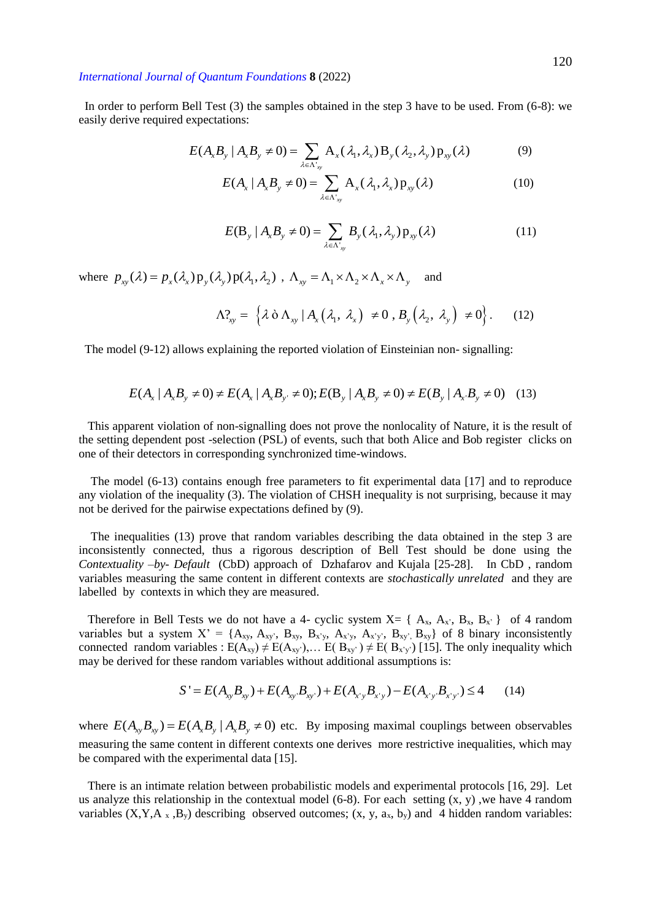In order to perform Bell Test (3) the samples obtained in the step 3 have to be used. From (6-8): we easily derive required expectations:

$$
E(A_x B_y | A_x B_y \neq 0) = \sum_{\lambda \in \Lambda_{xy}^+} A_x(\lambda_1, \lambda_x) B_y(\lambda_2, \lambda_y) p_{xy}(\lambda)
$$
(9)

$$
E(A_x \mid A_x B_y \neq 0) = \sum_{\lambda \in \Lambda'_{xy}} A_x(\lambda_1, \lambda_x) p_{xy}(\lambda)
$$
 (10)

$$
E(\mathbf{B}_{y} | A_{x}B_{y} \neq 0) = \sum_{\lambda \in \Lambda_{xy}^{+}} B_{y}(\lambda_{1}, \lambda_{y}) \mathbf{p}_{xy}(\lambda)
$$
 (11)

where  $p_{xy}(\lambda) = p_x(\lambda_x) p_y(\lambda_y) p(\lambda_1, \lambda_2)$ ,  $\Lambda_{xy} = \Lambda_1 \times \Lambda_2 \times \Lambda_x \times \Lambda_y$ and

$$
\Lambda_{xy}^2 = \left\{ \lambda \, \dot{\sigma} \, \Lambda_{xy} \, | \, A_x \big( \lambda_1, \, \lambda_x \big) \neq 0 \, , \, B_y \big( \lambda_2, \, \lambda_y \big) \neq 0 \right\} . \tag{12}
$$

The model (9-12) allows explaining the reported violation of Einsteinian non-signalling:  
\n
$$
E(A_x | A_x B_y \neq 0) \neq E(A_x | A_x B_y \neq 0); E(B_y | A_x B_y \neq 0) \neq E(B_y | A_x B_y \neq 0)
$$
 (13)

 This apparent violation of non-signalling does not prove the nonlocality of Nature, it is the result of the setting dependent post -selection (PSL) of events, such that both Alice and Bob register clicks on one of their detectors in corresponding synchronized time-windows.

 The model (6-13) contains enough free parameters to fit experimental data [17] and to reproduce any violation of the inequality (3). The violation of CHSH inequality is not surprising, because it may not be derived for the pairwise expectations defined by (9).

 The inequalities (13) prove that random variables describing the data obtained in the step 3 are inconsistently connected, thus a rigorous description of Bell Test should be done using the *Contextuality –by- Default* (CbD) approach of Dzhafarov and Kujala [25-28]. In CbD , random variables measuring the same content in different contexts are *stochastically unrelated* and they are labelled by contexts in which they are measured.

Therefore in Bell Tests we do not have a 4- cyclic system  $X = \{A_x, A_x, B_x, B_x\}$  of 4 random variables but a system  $X' = \{A_{xy}, A_{xy'}, B_{xy}, B_{x'y}, A_{x'y}, A_{x'y'}, B_{xy'}\}$  of 8 binary inconsistently connected random variables :  $E(A_{xy}) \neq E(A_{xy'})$ ,...  $E(B_{xy'}) \neq E(B_{x'y'})$  [15]. The only inequality which may be derived for these random variables without additional assumptions is:

$$
S' = E(A_{xy}B_{xy}) + E(A_{xy}B_{xy}) + E(A_{x'y}B_{x'y}) - E(A_{x'y}B_{x'y}) \le 4
$$
 (14)

where  $E(A_{xy}B_{xy}) = E(A_xB_y | A_xB_y \neq 0)$  etc. By imposing maximal couplings between observables measuring the same content in different contexts one derives more restrictive inequalities, which may be compared with the experimental data [15].

 There is an intimate relation between probabilistic models and experimental protocols [16, 29]. Let us analyze this relationship in the contextual model  $(6-8)$ . For each setting  $(x, y)$ , we have 4 random variables  $(X, Y, A_x, B_y)$  describing observed outcomes;  $(x, y, a_x, b_y)$  and 4 hidden random variables: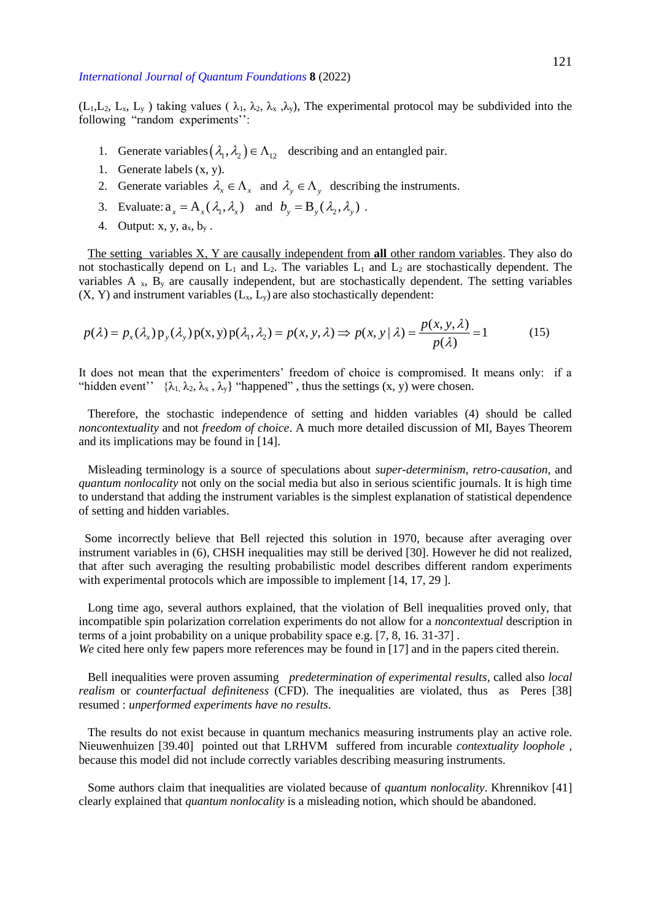$(L_1, L_2, L_x, L_y)$  taking values  $(\lambda_1, \lambda_2, \lambda_x, \lambda_y)$ , The experimental protocol may be subdivided into the following "random experiments'':

- 1. Generate variables  $(\lambda_1, \lambda_2) \in \Lambda_{12}$  describing and an entangled pair.
- 1. Generate labels (x, y).
- 2. Generate variables  $\lambda_x \in \Lambda_x$  and  $\lambda_y \in \Lambda_y$  describing the instruments.
- 3. Evaluate:  $a_x = A_x(\lambda_1, \lambda_x)$  and  $b_y = B_y(\lambda_2, \lambda_y)$ .
- 4. Output: x, y,  $a_x$ ,  $b_y$ .

 The setting variables X, Y are causally independent from **all** other random variables. They also do not stochastically depend on  $L_1$  and  $L_2$ . The variables  $L_1$  and  $L_2$  are stochastically dependent. The variables  $A_x$ ,  $B_y$  are causally independent, but are stochastically dependent. The setting variables  $(X, Y)$  and instrument variables  $(L_x, L_y)$  are also stochastically dependent:

$$
p(\lambda) = p_x(\lambda_x) p_y(\lambda_y) p(x, y) p(\lambda_1, \lambda_2) = p(x, y, \lambda) \Rightarrow p(x, y | \lambda) = \frac{p(x, y, \lambda)}{p(\lambda)} = 1
$$
 (15)

It does not mean that the experimenters' freedom of choice is compromised. It means only: if a "hidden event"  $\{\lambda_1, \lambda_2, \lambda_x, \lambda_y\}$  "happened", thus the settings  $(x, y)$  were chosen.

 Therefore, the stochastic independence of setting and hidden variables (4) should be called *noncontextuality* and not *freedom of choice*. A much more detailed discussion of MI, Bayes Theorem and its implications may be found in [14].

 Misleading terminology is a source of speculations about *super-determinism*, *retro-causation*, and *quantum nonlocality* not only on the social media but also in serious scientific journals. It is high time to understand that adding the instrument variables is the simplest explanation of statistical dependence of setting and hidden variables.

 Some incorrectly believe that Bell rejected this solution in 1970, because after averaging over instrument variables in (6), CHSH inequalities may still be derived [30]. However he did not realized, that after such averaging the resulting probabilistic model describes different random experiments with experimental protocols which are impossible to implement [14, 17, 29].

 Long time ago, several authors explained, that the violation of Bell inequalities proved only, that incompatible spin polarization correlation experiments do not allow for a *noncontextual* description in terms of a joint probability on a unique probability space e.g. [7, 8, 16. 31-37] *.*

*We* cited here only few papers more references may be found in [17] and in the papers cited therein.

 Bell inequalities were proven assuming *predetermination of experimental results*, called also *local realism* or *counterfactual definiteness* (CFD). The inequalities are violated, thus as Peres [38] resumed : *unperformed experiments have no results*.

 The results do not exist because in quantum mechanics measuring instruments play an active role. Nieuwenhuizen [39.40] pointed out that LRHVM suffered from incurable *contextuality loophole* , because this model did not include correctly variables describing measuring instruments.

 Some authors claim that inequalities are violated because of *quantum nonlocality*. Khrennikov [41] clearly explained that *quantum nonlocality* is a misleading notion, which should be abandoned.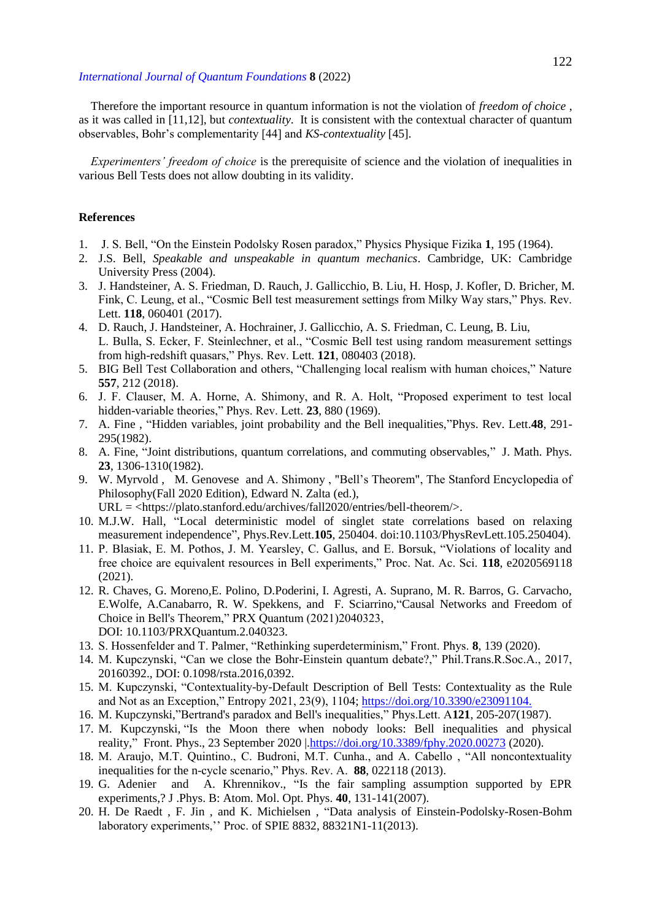Therefore the important resource in quantum information is not the violation of *freedom of choice* , as it was called in [11,12], but *contextuality*. It is consistent with the contextual character of quantum observables, Bohr's complementarity [44] and *KS-contextuality* [45].

 *Experimenters' freedom of choice* is the prerequisite of science and the violation of inequalities in various Bell Tests does not allow doubting in its validity.

## **References**

- 1. J. S. Bell, "On the Einstein Podolsky Rosen paradox," Physics Physique Fizika **1**, 195 (1964).
- 2. J.S. Bell, *Speakable and unspeakable in quantum mechanics*. Cambridge, UK: Cambridge University Press (2004).
- 3. J. Handsteiner, A. S. Friedman, D. Rauch, J. Gallicchio, B. Liu, H. Hosp, J. Kofler, D. Bricher, M. Fink, C. Leung, et al., "Cosmic Bell test measurement settings from Milky Way stars," Phys. Rev. Lett. **118**, 060401 (2017).
- 4. D. Rauch, J. Handsteiner, A. Hochrainer, J. Gallicchio, A. S. Friedman, C. Leung, B. Liu, L. Bulla, S. Ecker, F. Steinlechner, et al., "Cosmic Bell test using random measurement settings from high-redshift quasars," Phys. Rev. Lett. **121**, 080403 (2018).
- 5. BIG Bell Test Collaboration and others, "Challenging local realism with human choices," Nature **557**, 212 (2018).
- 6. J. F. Clauser, M. A. Horne, A. Shimony, and R. A. Holt, "Proposed experiment to test local hidden-variable theories," Phys. Rev. Lett. **23**, 880 (1969).
- 7. A. Fine , "Hidden variables, joint probability and the Bell inequalities,"Phys. Rev. Lett.**48**, 291- 295(1982).
- 8. A. Fine, "Joint distributions, quantum correlations, and commuting observables," J. Math. Phys. **23**, 1306-1310(1982).
- 9. W. Myrvold , M. Genovese and A. Shimony , "Bell's Theorem", The Stanford Encyclopedia of Philosophy(Fall 2020 Edition), Edward N. Zalta (ed.), URL = <https://plato.stanford.edu/archives/fall2020/entries/bell-theorem/>.
- 10. M.J.W. Hall, "Local deterministic model of singlet state correlations based on relaxing
- measurement independence", Phys.Rev.Lett.**105**, 250404. doi:10.1103/PhysRevLett.105.250404). 11. P. Blasiak, E. M. Pothos, J. M. Yearsley, C. Gallus, and E. Borsuk, "Violations of locality and free choice are equivalent resources in Bell experiments," Proc. Nat. Ac. Sci. **118**, e2020569118 (2021).
- 12. R. Chaves, G. Moreno,E. Polino, D.Poderini, I. Agresti, A. Suprano, M. R. Barros, G. Carvacho, E.Wolfe, A.Canabarro, R. W. Spekkens, and F. Sciarrino,"Causal Networks and Freedom of Choice in Bell's Theorem," PRX Quantum (2021)2040323, DOI: 10.1103/PRXQuantum.2.040323.
- 13. S. Hossenfelder and T. Palmer, "Rethinking superdeterminism," Front. Phys. **8**, 139 (2020).
- 14. M. Kupczynski, "Can we close the Bohr-Einstein quantum debate?," Phil.Trans.R.Soc.A., 2017, 20160392., DOI: 0.1098/rsta.2016,0392.
- 15. M. Kupczynski, "Contextuality-by-Default Description of Bell Tests: Contextuality as the Rule and Not as an Exception," Entropy 2021, 23(9), 1104; [https://doi.org/10.3390/e23091104.](https://doi.org/10.3390/e23091104)
- 16. M. Kupczynski,"Bertrand's paradox and Bell's inequalities," Phys.Lett. A**121**, 205-207(1987).
- 17. M. Kupczynski, "Is the Moon there when nobody looks: Bell inequalities and physical reality," Front. Phys., 23 September 2020 | https://doi.org/10.3389/fphy.2020.00273 (2020).
- 18. M. Araujo, M.T. Quintino., C. Budroni, M.T. Cunha., and A. Cabello , "All noncontextuality inequalities for the n-cycle scenario," Phys. Rev. A. **88**, 022118 (2013).
- 19. G. Adenier and A. Khrennikov., "Is the fair sampling assumption supported by EPR experiments,? J .Phys. B: Atom. Mol. Opt. Phys. **40**, 131-141(2007).
- 20. H. De Raedt , F. Jin , and K. Michielsen , "Data analysis of Einstein-Podolsky-Rosen-Bohm laboratory experiments,'' Proc. of SPIE 8832, 88321N1-11(2013).